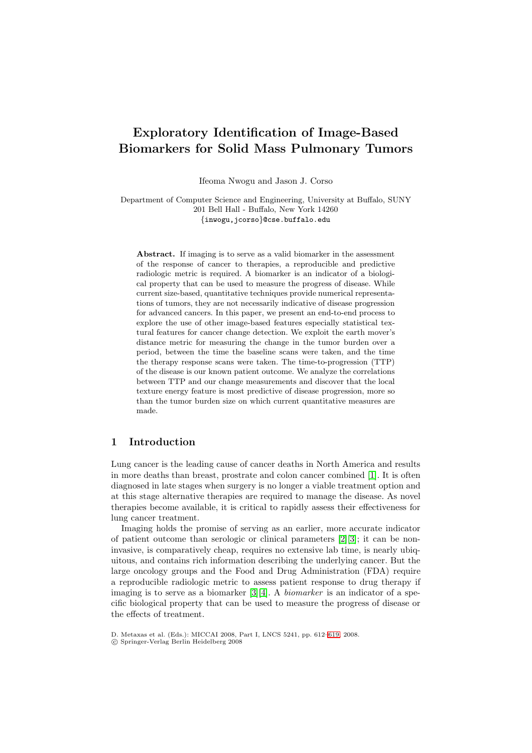# **Exploratory Identification of Image-Based Biomarkers for Solid Mass Pulmonary Tumors**

Ifeoma Nwogu and Jason J. Corso

Department of Computer Science and Engineering, University at Buffalo, SUNY 201 Bell Hall - Buffalo, New York 14260 {inwogu,jcorso}@cse.buffalo.edu

Abstract. If imaging is to serve as a valid biomarker in the assessment of the response of cancer to therapies, a reproducible and predictive radiologic metric is required. A biomarker is an indicator of a biological property that can be used to measure the progress of disease. While current size-based, quantitative techniques provide numerical representations of tumors, they are not necessarily indicative of disease progression for advanced cancers. In this paper, we present an end-to-end process to explore the use of other image-based features especially statistical textural features for cancer change detection. We exploit the earth mover's distance metric for measuring the change in the tumor burden over a period, between the time the baseline scans were taken, and the time the therapy response scans were taken. The time-to-progression (TTP) of the disease is our known patient outcome. We analyze the correlations between TTP and our change measurements and discover that the local texture energy feature is most predictive of disease progression, more so than the tumor burden size on which current quantitative measures are made.

## **1 Introduction**

Lung cancer is the leading cause of cancer deaths in North America and results in more deaths than breast, prostrate and colon cancer combined [\[1\]](#page-7-0). It is often diagnosed in late stages when surgery is no longer a viable treatment option and at this stage alternative therapies are required to manage the disease. As novel therapies become available, it is critical to rapidly assess their effectiveness for lung cancer treatment.

Imaging holds the promise of serving as an earlier, more accurate indicator of patient outcome than serologic or clinical parameters [\[2\]](#page-7-1)[\[3\]](#page-7-2); it can be noninvasive, is comparatively cheap, requires no extensive lab time, is nearly ubiquitous, and contains rich information describing the underlying cancer. But the large oncology groups and the Food and Drug Administration (FDA) require a reproducible radiologic metric to assess patient response to drug therapy if imaging is to serve as a biomarker [\[3\]](#page-7-2)[\[4\]](#page-7-3). A biomarker is an indicator of a specific biological property that can be used to measure the progress of disease or the effects of treatment.

D. Metaxas et al. (Eds.): MICCAI 2008, Part I, LNCS 5241, pp. 612[–619,](#page-7-4) 2008.

<sup>-</sup>c Springer-Verlag Berlin Heidelberg 2008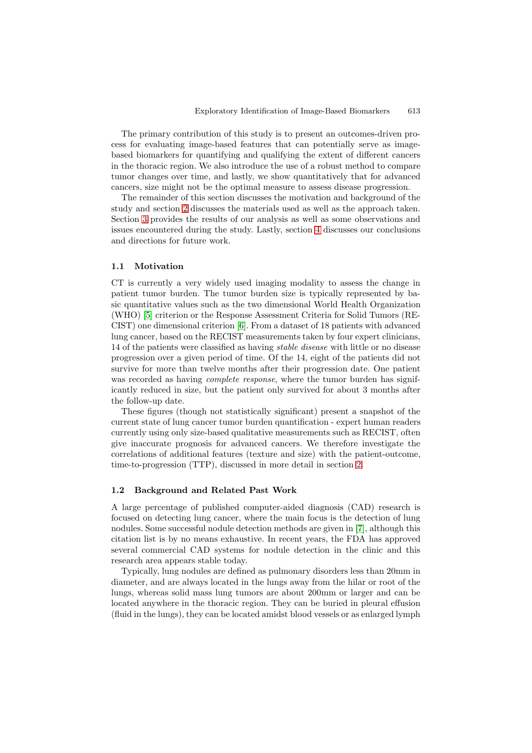The primary contribution of this study is to present an outcomes-driven process for evaluating image-based features that can potentially serve as imagebased biomarkers for quantifying and qualifying the extent of different cancers in the thoracic region. We also introduce the use of a robust method to compare tumor changes over time, and lastly, we show quantitatively that for advanced cancers, size might not be the optimal measure to assess disease progression.

The remainder of this section discusses the motivation and background of the study and section [2](#page-3-0) discusses the materials used as well as the approach taken. Section [3](#page-5-0) provides the results of our analysis as well as some observations and issues encountered during the study. Lastly, section [4](#page-7-5) discusses our conclusions and directions for future work.

### **1.1 Motivation**

CT is currently a very widely used imaging modality to assess the change in patient tumor burden. The tumor burden size is typically represented by basic quantitative values such as the two dimensional World Health Organization (WHO) [\[5\]](#page-7-6) criterion or the Response Assessment Criteria for Solid Tumors (RE-CIST) one dimensional criterion [\[6\]](#page-7-7). From a dataset of 18 patients with advanced lung cancer, based on the RECIST measurements taken by four expert clinicians, 14 of the patients were classified as having stable disease with little or no disease progression over a given period of time. Of the 14, eight of the patients did not survive for more than twelve months after their progression date. One patient was recorded as having *complete response*, where the tumor burden has significantly reduced in size, but the patient only survived for about 3 months after the follow-up date.

These figures (though not statistically significant) present a snapshot of the current state of lung cancer tumor burden quantification - expert human readers currently using only size-based qualitative measurements such as RECIST, often give inaccurate prognosis for advanced cancers. We therefore investigate the correlations of additional features (texture and size) with the patient-outcome, time-to-progression (TTP), discussed in more detail in section [2.](#page-3-0)

#### **1.2 Background and Related Past Work**

A large percentage of published computer-aided diagnosis (CAD) research is focused on detecting lung cancer, where the main focus is the detection of lung nodules. Some successful nodule detection methods are given in [\[7\]](#page-7-8), although this citation list is by no means exhaustive. In recent years, the FDA has approved several commercial CAD systems for nodule detection in the clinic and this research area appears stable today.

Typically, lung nodules are defined as pulmonary disorders less than 20mm in diameter, and are always located in the lungs away from the hilar or root of the lungs, whereas solid mass lung tumors are about 200mm or larger and can be located anywhere in the thoracic region. They can be buried in pleural effusion (fluid in the lungs), they can be located amidst blood vessels or as enlarged lymph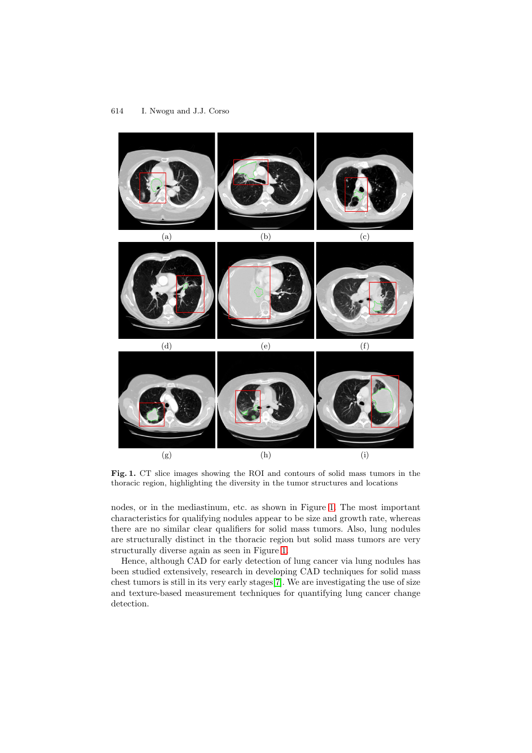

**Fig. 1.** CT slice images showing the ROI and contours of solid mass tumors in the thoracic region, highlighting the diversity in the tumor structures and locations

<span id="page-2-0"></span>nodes, or in the mediastinum, etc. as shown in Figure [1.](#page-2-0) The most important characteristics for qualifying nodules appear to be size and growth rate, whereas there are no similar clear qualifiers for solid mass tumors. Also, lung nodules are structurally distinct in the thoracic region but solid mass tumors are very structurally diverse again as seen in Figure [1.](#page-2-0)

Hence, although CAD for early detection of lung cancer via lung nodules has been studied extensively, research in developing CAD techniques for solid mass chest tumors is still in its very early stages[\[7\]](#page-7-8). We are investigating the use of size and texture-based measurement techniques for quantifying lung cancer change detection.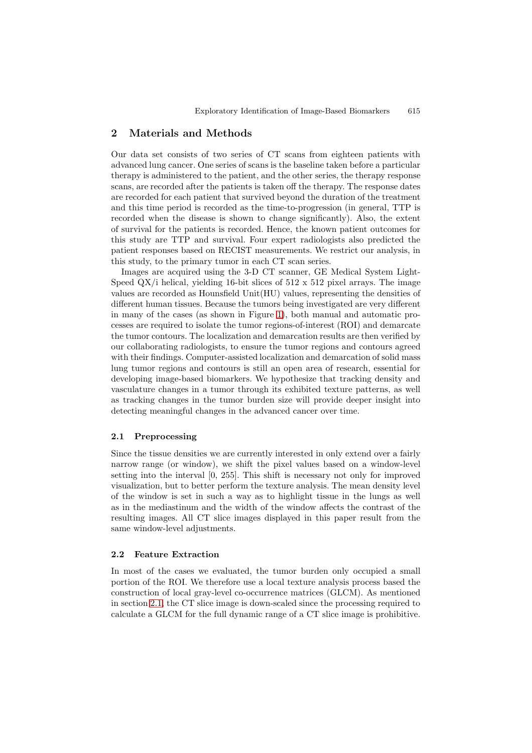# <span id="page-3-0"></span>**2 Materials and Methods**

Our data set consists of two series of CT scans from eighteen patients with advanced lung cancer. One series of scans is the baseline taken before a particular therapy is administered to the patient, and the other series, the therapy response scans, are recorded after the patients is taken off the therapy. The response dates are recorded for each patient that survived beyond the duration of the treatment and this time period is recorded as the time-to-progression (in general, TTP is recorded when the disease is shown to change significantly). Also, the extent of survival for the patients is recorded. Hence, the known patient outcomes for this study are TTP and survival. Four expert radiologists also predicted the patient responses based on RECIST measurements. We restrict our analysis, in this study, to the primary tumor in each CT scan series.

Images are acquired using the 3-D CT scanner, GE Medical System Light-Speed  $\mathbb{Q}X$  i helical, yielding 16-bit slices of 512 x 512 pixel arrays. The image values are recorded as Hounsfield Unit(HU) values, representing the densities of different human tissues. Because the tumors being investigated are very different in many of the cases (as shown in Figure [1\)](#page-2-0), both manual and automatic processes are required to isolate the tumor regions-of-interest (ROI) and demarcate the tumor contours. The localization and demarcation results are then verified by our collaborating radiologists, to ensure the tumor regions and contours agreed with their findings. Computer-assisted localization and demarcation of solid mass lung tumor regions and contours is still an open area of research, essential for developing image-based biomarkers. We hypothesize that tracking density and vasculature changes in a tumor through its exhibited texture patterns, as well as tracking changes in the tumor burden size will provide deeper insight into detecting meaningful changes in the advanced cancer over time.

### <span id="page-3-1"></span>**2.1 Preprocessing**

Since the tissue densities we are currently interested in only extend over a fairly narrow range (or window), we shift the pixel values based on a window-level setting into the interval [0, 255]. This shift is necessary not only for improved visualization, but to better perform the texture analysis. The mean density level of the window is set in such a way as to highlight tissue in the lungs as well as in the mediastinum and the width of the window affects the contrast of the resulting images. All CT slice images displayed in this paper result from the same window-level adjustments.

#### **2.2 Feature Extraction**

In most of the cases we evaluated, the tumor burden only occupied a small portion of the ROI. We therefore use a local texture analysis process based the construction of local gray-level co-occurrence matrices (GLCM). As mentioned in section [2.1,](#page-3-1) the CT slice image is down-scaled since the processing required to calculate a GLCM for the full dynamic range of a CT slice image is prohibitive.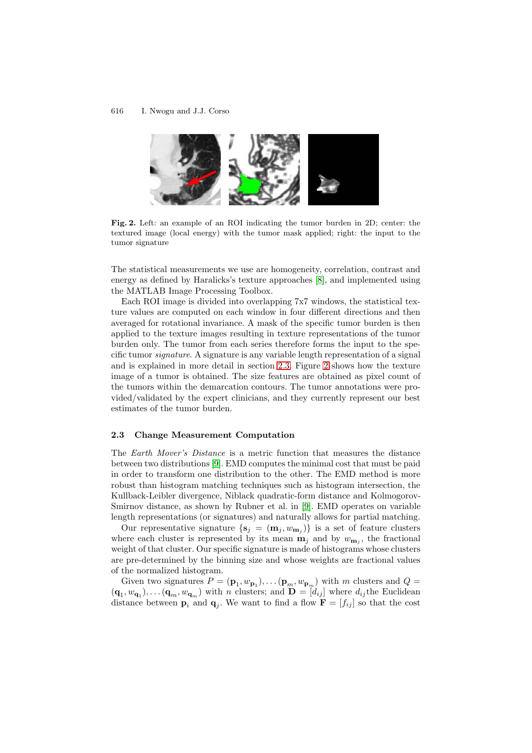#### 616 I. Nwogu and J.J. Corso



**Fig. 2.** Left: an example of an ROI indicating the tumor burden in 2D; center: the textured image (local energy) with the tumor mask applied; right: the input to the tumor signature

<span id="page-4-1"></span>The statistical measurements we use are homogeneity, correlation, contrast and energy as defined by Haralicks's texture approaches [\[8\]](#page-7-9), and implemented using the MATLAB Image Processing Toolbox.

Each ROI image is divided into overlapping 7x7 windows, the statistical texture values are computed on each window in four different directions and then averaged for rotational invariance. A mask of the specific tumor burden is then applied to the texture images resulting in texture representations of the tumor burden only. The tumor from each series therefore forms the input to the specific tumor signature. A signature is any variable length representation of a signal and is explained in more detail in section [2.3.](#page-4-0) Figure [2](#page-4-1) shows how the texture image of a tumor is obtained. The size features are obtained as pixel count of the tumors within the demarcation contours. The tumor annotations were provided/validated by the expert clinicians, and they currently represent our best estimates of the tumor burden.

#### <span id="page-4-0"></span>**2.3 Change Measurement Computation**

The Earth Mover's Distance is a metric function that measures the distance between two distributions [\[9\]](#page-7-10). EMD computes the minimal cost that must be paid in order to transform one distribution to the other. The EMD method is more robust than histogram matching techniques such as histogram intersection, the Kullback-Leibler divergence, Niblack quadratic-form distance and Kolmogorov-Smirnov distance, as shown by Rubner et al. in [\[9\]](#page-7-10). EMD operates on variable length representations (or signatures) and naturally allows for partial matching.

Our representative signature  $\{s_j = (m_j, w_{m_j})\}$  is a set of feature clusters where each cluster is represented by its mean  $\mathbf{m}_i$  and by  $w_{\mathbf{m}_i}$ , the fractional weight of that cluster. Our specific signature is made of histograms whose clusters are pre-determined by the binning size and whose weights are fractional values of the normalized histogram.

Given two signatures  $P = (\mathbf{p}_1, w_{\mathbf{p}_1}), \dots (\mathbf{p}_m, w_{\mathbf{p}_m})$  with m clusters and  $Q =$  $(\mathbf{q}_1, w_{\mathbf{q}_1})$ ,... $(\mathbf{q}_m, w_{\mathbf{q}_m})$  with n clusters; and  $\mathbf{D} = [d_{ij}]$  where  $d_{ij}$ the Euclidean distance between  $\mathbf{p}_i$  and  $\mathbf{q}_j$ . We want to find a flow  $\mathbf{F} = [f_{ij}]$  so that the cost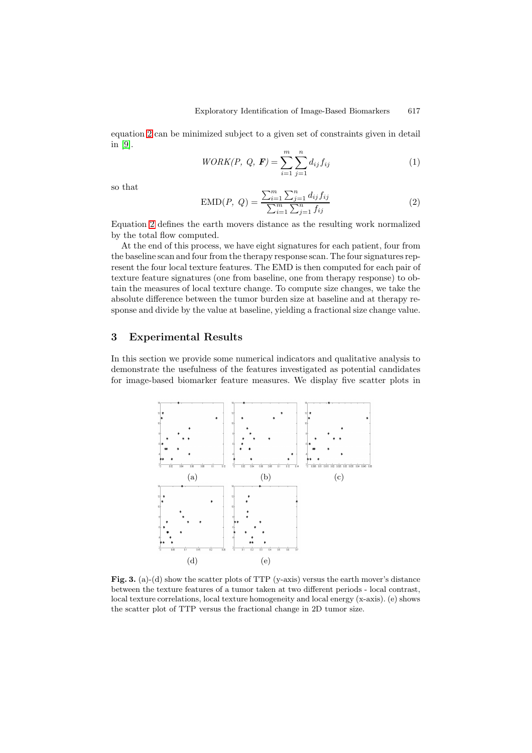equation [2](#page-5-1) can be minimized subject to a given set of constraints given in detail in [\[9\]](#page-7-10).

$$
WORK(P, Q, \mathbf{F}) = \sum_{i=1}^{m} \sum_{j=1}^{n} d_{ij} f_{ij}
$$
 (1)

<span id="page-5-1"></span>so that

$$
EMD(P, Q) = \frac{\sum_{i=1}^{m} \sum_{j=1}^{n} d_{ij} f_{ij}}{\sum_{i=1}^{m} \sum_{j=1}^{n} f_{ij}}
$$
(2)

Equation [2](#page-5-1) defines the earth movers distance as the resulting work normalized by the total flow computed.

At the end of this process, we have eight signatures for each patient, four from the baseline scan and four from the therapy response scan. The four signatures represent the four local texture features. The EMD is then computed for each pair of texture feature signatures (one from baseline, one from therapy response) to obtain the measures of local texture change. To compute size changes, we take the absolute difference between the tumor burden size at baseline and at therapy response and divide by the value at baseline, yielding a fractional size change value.

# <span id="page-5-0"></span>**3 Experimental Results**

In this section we provide some numerical indicators and qualitative analysis to demonstrate the usefulness of the features investigated as potential candidates for image-based biomarker feature measures. We display five scatter plots in



<span id="page-5-2"></span>Fig. 3. (a)-(d) show the scatter plots of TTP (y-axis) versus the earth mover's distance between the texture features of a tumor taken at two different periods - local contrast, local texture correlations, local texture homogeneity and local energy (x-axis). (e) shows the scatter plot of TTP versus the fractional change in 2D tumor size.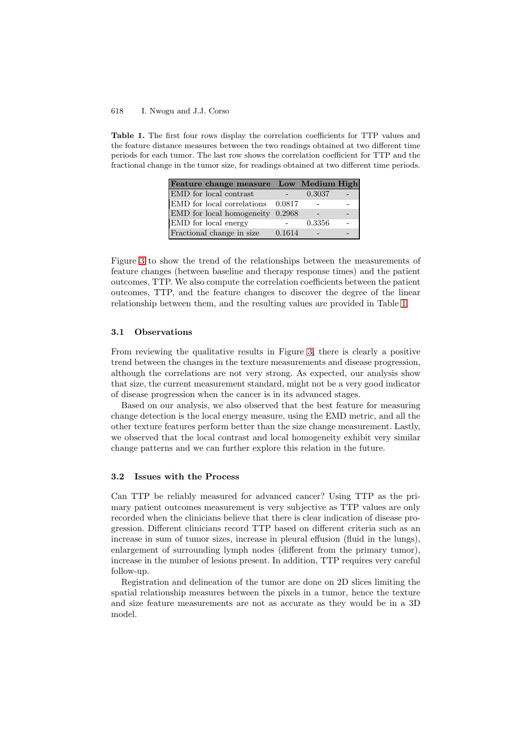#### 618 I. Nwogu and J.J. Corso

<span id="page-6-0"></span>**Table 1.** The first four rows display the correlation coefficients for TTP values and the feature distance measures between the two readings obtained at two different time periods for each tumor. The last row shows the correlation coefficient for TTP and the fractional change in the tumor size, for readings obtained at two different time periods.

| Feature change measure Low Medium High |        |        |  |
|----------------------------------------|--------|--------|--|
| EMD for local contrast                 |        | 0.3037 |  |
| EMD for local correlations 0.0817      |        |        |  |
| EMD for local homogeneity $0.2968$     |        |        |  |
| EMD for local energy                   |        | 0.3356 |  |
| Fractional change in size              | 0.1614 |        |  |

Figure [3](#page-5-2) to show the trend of the relationships between the measurements of feature changes (between baseline and therapy response times) and the patient outcomes, TTP. We also compute the correlation coefficients between the patient outcomes, TTP, and the feature changes to discover the degree of the linear relationship between them, and the resulting values are provided in Table [1.](#page-6-0)

#### **3.1 Observations**

From reviewing the qualitative results in Figure [3,](#page-5-2) there is clearly a positive trend between the changes in the texture measurements and disease progression, although the correlations are not very strong. As expected, our analysis show that size, the current measurement standard, might not be a very good indicator of disease progression when the cancer is in its advanced stages.

Based on our analysis, we also observed that the best feature for measuring change detection is the local energy measure, using the EMD metric, and all the other texture features perform better than the size change measurement. Lastly, we observed that the local contrast and local homogeneity exhibit very similar change patterns and we can further explore this relation in the future.

#### <span id="page-6-1"></span>**3.2 Issues with the Process**

Can TTP be reliably measured for advanced cancer? Using TTP as the primary patient outcomes measurement is very subjective as TTP values are only recorded when the clinicians believe that there is clear indication of disease progression. Different clinicians record TTP based on different criteria such as an increase in sum of tumor sizes, increase in pleural effusion (fluid in the lungs), enlargement of surrounding lymph nodes (different from the primary tumor), increase in the number of lesions present. In addition, TTP requires very careful follow-up.

Registration and delineation of the tumor are done on 2D slices limiting the spatial relationship measures between the pixels in a tumor, hence the texture and size feature measurements are not as accurate as they would be in a 3D model.